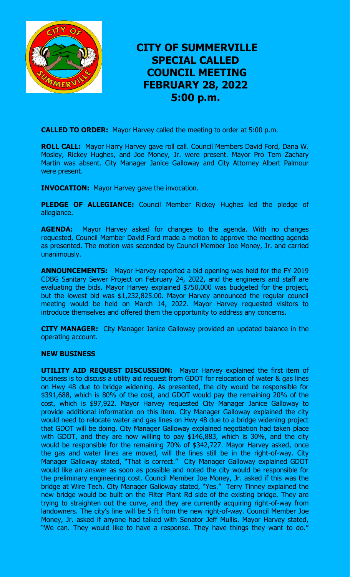

# **CITY OF SUMMERVILLE SPECIAL CALLED COUNCIL MEETING FEBRUARY 28, 2022 5:00 p.m.**

**CALLED TO ORDER:** Mayor Harvey called the meeting to order at 5:00 p.m.

**ROLL CALL:** Mayor Harry Harvey gave roll call. Council Members David Ford, Dana W. Mosley, Rickey Hughes, and Joe Money, Jr. were present. Mayor Pro Tem Zachary Martin was absent. City Manager Janice Galloway and City Attorney Albert Palmour were present.

**INVOCATION:** Mayor Harvey gave the invocation.

**PLEDGE OF ALLEGIANCE:** Council Member Rickey Hughes led the pledge of allegiance.

**AGENDA:** Mayor Harvey asked for changes to the agenda. With no changes requested, Council Member David Ford made a motion to approve the meeting agenda as presented. The motion was seconded by Council Member Joe Money, Jr. and carried unanimously.

**ANNOUNCEMENTS:** Mayor Harvey reported a bid opening was held for the FY 2019 CDBG Sanitary Sewer Project on February 24, 2022, and the engineers and staff are evaluating the bids. Mayor Harvey explained \$750,000 was budgeted for the project, but the lowest bid was \$1,232,825.00. Mayor Harvey announced the regular council meeting would be held on March 14, 2022. Mayor Harvey requested visitors to introduce themselves and offered them the opportunity to address any concerns.

**CITY MANAGER:** City Manager Janice Galloway provided an updated balance in the operating account.

## **NEW BUSINESS**

**UTILITY AID REQUEST DISCUSSION:** Mayor Harvey explained the first item of business is to discuss a utility aid request from GDOT for relocation of water & gas lines on Hwy 48 due to bridge widening. As presented, the city would be responsible for \$391,688, which is 80% of the cost, and GDOT would pay the remaining 20% of the cost, which is \$97,922. Mayor Harvey requested City Manager Janice Galloway to provide additional information on this item. City Manager Galloway explained the city would need to relocate water and gas lines on Hwy 48 due to a bridge widening project that GDOT will be doing. City Manager Galloway explained negotiation had taken place with GDOT, and they are now willing to pay \$146,883, which is 30%, and the city would be responsible for the remaining 70% of \$342,727. Mayor Harvey asked, once the gas and water lines are moved, will the lines still be in the right-of-way. City Manager Galloway stated, "That is correct." City Manager Galloway explained GDOT would like an answer as soon as possible and noted the city would be responsible for the preliminary engineering cost. Council Member Joe Money, Jr. asked if this was the bridge at Wire Tech. City Manager Galloway stated, "Yes." Terry Tinney explained the new bridge would be built on the Filter Plant Rd side of the existing bridge. They are trying to straighten out the curve, and they are currently acquiring right-of-way from landowners. The city's line will be 5 ft from the new right-of-way. Council Member Joe Money, Jr. asked if anyone had talked with Senator Jeff Mullis. Mayor Harvey stated, "We can. They would like to have a response. They have things they want to do."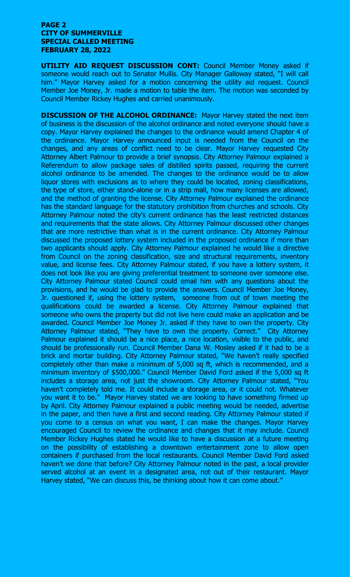#### **PAGE 2 CITY OF SUMMERVILLE SPECIAL CALLED MEETING FEBRUARY 28, 2022**

**UTILITY AID REQUEST DISCUSSION CONT:** Council Member Money asked if someone would reach out to Senator Mullis. City Manager Galloway stated, "I will call him." Mayor Harvey asked for a motion concerning the utility aid request. Council Member Joe Money, Jr. made a motion to table the item. The motion was seconded by Council Member Rickey Hughes and carried unanimously.

**DISCUSSION OF THE ALCOHOL ORDINANCE:** Mayor Harvey stated the next item of business is the discussion of the alcohol ordinance and noted everyone should have a copy. Mayor Harvey explained the changes to the ordinance would amend Chapter 4 of the ordinance. Mayor Harvey announced input is needed from the Council on the changes, and any areas of conflict need to be clear. Mayor Harvey requested City Attorney Albert Palmour to provide a brief synopsis. City Attorney Palmour explained a Referendum to allow package sales of distilled spirits passed, requiring the current alcohol ordinance to be amended. The changes to the ordinance would be to allow liquor stores with exclusions as to where they could be located, zoning classifications, the type of store, either stand-alone or in a strip mall, how many licenses are allowed, and the method of granting the license. City Attorney Palmour explained the ordinance has the standard language for the statutory prohibition from churches and schools. City Attorney Palmour noted the city's current ordinance has the least restricted distances and requirements that the state allows. City Attorney Palmour discussed other changes that are more restrictive than what is in the current ordinance. City Attorney Palmour discussed the proposed lottery system included in the proposed ordinance if more than two applicants should apply. City Attorney Palmour explained he would like a directive from Council on the zoning classification, size and structural requirements, inventory value, and license fees. City Attorney Palmour stated, if you have a lottery system, it does not look like you are giving preferential treatment to someone over someone else. City Attorney Palmour stated Council could email him with any questions about the provisions, and he would be glad to provide the answers. Council Member Joe Money, Jr. questioned if, using the lottery system, someone from out of town meeting the qualifications could be awarded a license. City Attorney Palmour explained that someone who owns the property but did not live here could make an application and be awarded. Council Member Joe Money Jr. asked if they have to own the property. City Attorney Palmour stated, "They have to own the property. Correct." City Attorney Palmour explained it should be a nice place, a nice location, visible to the public, and should be professionally run. Council Member Dana W. Mosley asked if it had to be a brick and mortar building. City Attorney Palmour stated, "We haven't really specified completely other than make a minimum of 5,000 sq ft, which is recommended, and a minimum inventory of \$500,000." Council Member David Ford asked if the 5,000 sq ft includes a storage area, not just the showroom. City Attorney Palmour stated, "You haven't completely told me. It could include a storage area, or it could not. Whatever you want it to be." Mayor Harvey stated we are looking to have something firmed up by April. City Attorney Palmour explained a public meeting would be needed, advertise in the paper, and then have a first and second reading. City Attorney Palmour stated if you come to a census on what you want, I can make the changes. Mayor Harvey encouraged Council to review the ordinance and changes that it may include. Council Member Rickey Hughes stated he would like to have a discussion at a future meeting on the possibility of establishing a downtown entertainment zone to allow open containers if purchased from the local restaurants. Council Member David Ford asked haven't we done that before? City Attorney Palmour noted in the past, a local provider served alcohol at an event in a designated area, not out of their restaurant. Mayor Harvey stated, "We can discuss this, be thinking about how it can come about."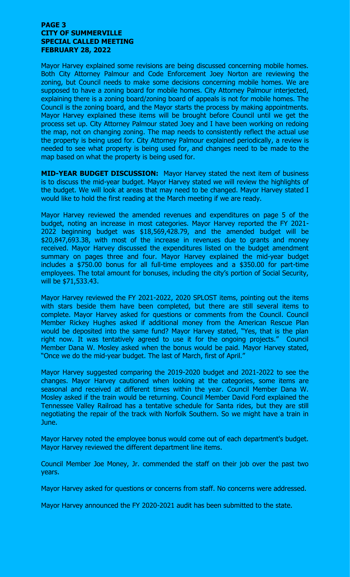#### **PAGE 3 CITY OF SUMMERVILLE SPECIAL CALLED MEETING FEBRUARY 28, 2022**

Mayor Harvey explained some revisions are being discussed concerning mobile homes. Both City Attorney Palmour and Code Enforcement Joey Norton are reviewing the zoning, but Council needs to make some decisions concerning mobile homes. We are supposed to have a zoning board for mobile homes. City Attorney Palmour interjected, explaining there is a zoning board/zoning board of appeals is not for mobile homes. The Council is the zoning board, and the Mayor starts the process by making appointments. Mayor Harvey explained these items will be brought before Council until we get the process set up. City Attorney Palmour stated Joey and I have been working on redoing the map, not on changing zoning. The map needs to consistently reflect the actual use the property is being used for. City Attorney Palmour explained periodically, a review is needed to see what property is being used for, and changes need to be made to the map based on what the property is being used for.

**MID-YEAR BUDGET DISCUSSION:** Mayor Harvey stated the next item of business is to discuss the mid-year budget. Mayor Harvey stated we will review the highlights of the budget. We will look at areas that may need to be changed. Mayor Harvey stated I would like to hold the first reading at the March meeting if we are ready.

Mayor Harvey reviewed the amended revenues and expenditures on page 5 of the budget, noting an increase in most categories. Mayor Harvey reported the FY 2021- 2022 beginning budget was \$18,569,428.79, and the amended budget will be \$20,847,693.38, with most of the increase in revenues due to grants and money received. Mayor Harvey discussed the expenditures listed on the budget amendment summary on pages three and four. Mayor Harvey explained the mid-year budget includes a \$750.00 bonus for all full-time employees and a \$350.00 for part-time employees. The total amount for bonuses, including the city's portion of Social Security, will be \$71,533.43.

Mayor Harvey reviewed the FY 2021-2022, 2020 SPLOST items, pointing out the items with stars beside them have been completed, but there are still several items to complete. Mayor Harvey asked for questions or comments from the Council. Council Member Rickey Hughes asked if additional money from the American Rescue Plan would be deposited into the same fund? Mayor Harvey stated, "Yes, that is the plan right now. It was tentatively agreed to use it for the ongoing projects." Council Member Dana W. Mosley asked when the bonus would be paid. Mayor Harvey stated, "Once we do the mid-year budget. The last of March, first of April."

Mayor Harvey suggested comparing the 2019-2020 budget and 2021-2022 to see the changes. Mayor Harvey cautioned when looking at the categories, some items are seasonal and received at different times within the year. Council Member Dana W. Mosley asked if the train would be returning. Council Member David Ford explained the Tennessee Valley Railroad has a tentative schedule for Santa rides, but they are still negotiating the repair of the track with Norfolk Southern. So we might have a train in June.

Mayor Harvey noted the employee bonus would come out of each department's budget. Mayor Harvey reviewed the different department line items.

Council Member Joe Money, Jr. commended the staff on their job over the past two years.

Mayor Harvey asked for questions or concerns from staff. No concerns were addressed.

Mayor Harvey announced the FY 2020-2021 audit has been submitted to the state.